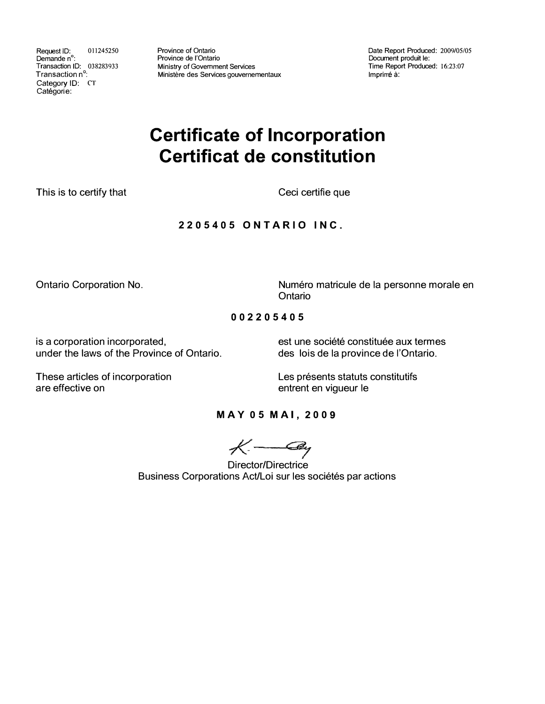Request ID: 011245250 Demande n ° : Transaction ID: 038283933 Transaction n<sup>o</sup>: Category ID: CT Catégorie:

Province of Ontario Province de !'Ontario Ministry of Government Services Ministère des Services gouvernementaux Date Report Produced: 2009/05/05 Document produit le: Time Report Produced: 16:23:07 Impriné à:

# **Certificate of Incorporation Certificat de constitution**

This is to certify that

Ceci certifie que

# **2205405 ONTARIO INC.**

Ontario Corporation No.

Numéro matricule de la personne morale en Ontario

## **002205405**

is a corporation incorporated,<br>under the laws of the Province of Ontario.<br>des lois de la province de l'Ontario.

des lois de la province de l'Ontario.

These articles of incorporation are effective on

Les présents statuts constitutifs entrent en vigueur le

## **MAY 05 MAI, 2009**

 $K - 2y$ 

Director/Directrice Business Corporations Act/Loi sur les sociétés par actions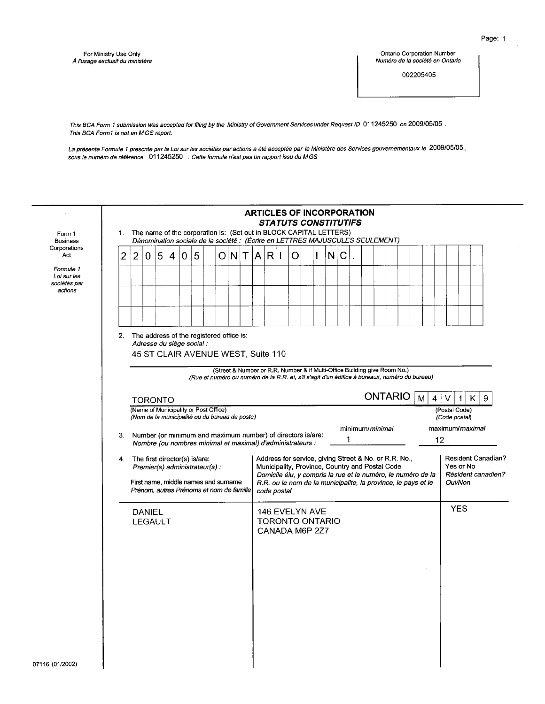Ontario Corporation Number Numéro de la société en Ontario

002205405

This BCA Form 1 submission was accepted for filing by the Ministry of Government Services under Request ID 011245250 on 2009/05/05. This BCA Form1 is not an MGS report.

La présente Formule 1 prescrite par la Loi sur les sociétés par actions a été acceptée par le Ministère des Services gouvernementaux le 2009/05/05 ,<br>sous le numéro de référence 011245250 . Cette formule n'est pas un rappor

|                                                     |    |                |                                 |   |                |                                                                                                                                                        |   |  |  | <b>ARTICLES OF INCORPORATION</b>                                                              |             | <b>STATUTS CONSTITUTIFS</b>                                                                                                                                                                                                               |              |   |             |   |                         |                |  |   |                |                                |            |                 |                                                 |
|-----------------------------------------------------|----|----------------|---------------------------------|---|----------------|--------------------------------------------------------------------------------------------------------------------------------------------------------|---|--|--|-----------------------------------------------------------------------------------------------|-------------|-------------------------------------------------------------------------------------------------------------------------------------------------------------------------------------------------------------------------------------------|--------------|---|-------------|---|-------------------------|----------------|--|---|----------------|--------------------------------|------------|-----------------|-------------------------------------------------|
| Form 1<br><b>Business</b>                           |    |                |                                 |   |                | 1. The name of the corporation is: (Set out in BLOCK CAPITAL LETTERS)<br>Dénomination sociale de la société : (Écrire en LETTRES MAJUSCULES SEULEMENT) |   |  |  |                                                                                               |             |                                                                                                                                                                                                                                           |              |   |             |   |                         |                |  |   |                |                                |            |                 |                                                 |
| Corporations<br>Act                                 | 2  | $\overline{c}$ | $\overline{0}$                  | 5 | $\overline{4}$ | $\overline{0}$                                                                                                                                         | 5 |  |  | O[N T A]                                                                                      | $R$         | O                                                                                                                                                                                                                                         | $\mathbf{I}$ | N | $\mathsf C$ |   |                         |                |  |   |                |                                |            |                 |                                                 |
| Formule 1<br>Loi sur les<br>sociétés par<br>actions |    |                |                                 |   |                |                                                                                                                                                        |   |  |  |                                                                                               |             |                                                                                                                                                                                                                                           |              |   |             |   |                         |                |  |   |                |                                |            |                 |                                                 |
|                                                     |    |                |                                 |   |                |                                                                                                                                                        |   |  |  |                                                                                               |             |                                                                                                                                                                                                                                           |              |   |             |   |                         |                |  |   |                |                                |            |                 |                                                 |
|                                                     |    |                |                                 |   |                | 2. The address of the registered office is:<br>Adresse du siège social :<br>45 ST CLAIR AVENUE WEST, Suite 110                                         |   |  |  | (Street & Number or R.R. Number & if Multi-Office Building give Room No.)                     |             |                                                                                                                                                                                                                                           |              |   |             |   |                         |                |  |   |                |                                |            |                 |                                                 |
|                                                     |    |                | <b>TORONTO</b>                  |   |                |                                                                                                                                                        |   |  |  | (Rue et numéro ou numéro de la R.R. et, s'il s'agit d'un édifice à bureaux, numéro du bureau) |             |                                                                                                                                                                                                                                           |              |   |             |   |                         | <b>ONTARIO</b> |  | M | $\overline{4}$ | V                              | 1          | 9<br>K.         |                                                 |
|                                                     |    |                |                                 |   |                | (Name of Municipality or Post Office)<br>(Nom de la municipalité ou du bureau de poste)<br>Number (or minimum and maximum number) of directors is/are: |   |  |  |                                                                                               |             |                                                                                                                                                                                                                                           |              |   |             |   | minimum/ <i>minimal</i> |                |  |   |                | (Postal Code)<br>(Code postal) |            | maximum/maximal |                                                 |
|                                                     | 3. |                |                                 |   |                | Nombre (ou nombres minimal et maximal) d'administrateurs :                                                                                             |   |  |  |                                                                                               |             |                                                                                                                                                                                                                                           |              |   |             | 1 |                         |                |  |   | 12             |                                |            |                 |                                                 |
|                                                     |    |                |                                 |   |                | 4. The first director(s) is/are:<br>Premier(s) administrateur(s):<br>First name, middle names and sumame<br>Prénom, autres Prénoms et nom de famille   |   |  |  |                                                                                               | code postal | Address for service, giving Street & No. or R.R. No.,<br>Municipality, Province, Country and Postal Code<br>Domicile élu, y compris la rue et le numéro, le numéro de la<br>R.R. ou le nom de la municipalite, la province, le pays et le |              |   |             |   |                         |                |  |   |                | Yes or No<br>Oui/Non           |            |                 | <b>Resident Canadian?</b><br>Résident canadien? |
|                                                     |    |                | <b>DANIEL</b><br><b>LEGAULT</b> |   |                |                                                                                                                                                        |   |  |  |                                                                                               |             | <b>146 EVELYN AVE</b><br><b>TORONTO ONTARIO</b><br>CANADA M6P 2Z7                                                                                                                                                                         |              |   |             |   |                         |                |  |   |                |                                | <b>YES</b> |                 |                                                 |
|                                                     |    |                |                                 |   |                |                                                                                                                                                        |   |  |  |                                                                                               |             |                                                                                                                                                                                                                                           |              |   |             |   |                         |                |  |   |                |                                |            |                 |                                                 |
|                                                     |    |                |                                 |   |                |                                                                                                                                                        |   |  |  |                                                                                               |             |                                                                                                                                                                                                                                           |              |   |             |   |                         |                |  |   |                |                                |            |                 |                                                 |
|                                                     |    |                |                                 |   |                |                                                                                                                                                        |   |  |  |                                                                                               |             |                                                                                                                                                                                                                                           |              |   |             |   |                         |                |  |   |                |                                |            |                 |                                                 |
| 07116 (01/2002)                                     |    |                |                                 |   |                |                                                                                                                                                        |   |  |  |                                                                                               |             |                                                                                                                                                                                                                                           |              |   |             |   |                         |                |  |   |                |                                |            |                 |                                                 |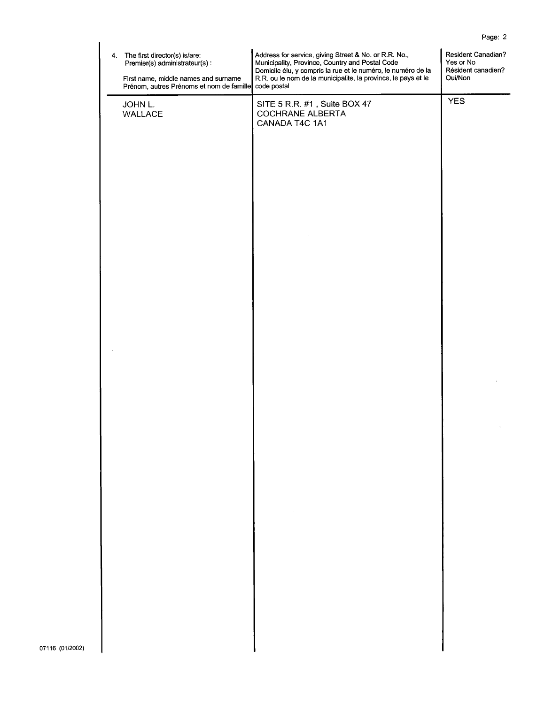| 4. The first director(s) is/are:<br>Premier(s) administrateur(s) :<br>First name, middle names and surname<br>Prénom, autres Prénoms et nom de famille | Address for service, giving Street & No. or R.R. No.,<br>Municipality, Province, Country and Postal Code<br>Domicile élu, y compris la rue et le numéro, le numéro de la<br>R.R. ou le nom de la municipalite, la province, le pays et le<br>code postal | Resident Canadian?<br>Yes or No<br>Résident canadien?<br>Oui/Non |
|--------------------------------------------------------------------------------------------------------------------------------------------------------|----------------------------------------------------------------------------------------------------------------------------------------------------------------------------------------------------------------------------------------------------------|------------------------------------------------------------------|
| JOHN L.<br>WALLACE                                                                                                                                     | SITE 5 R.R. #1, Suite BOX 47<br>COCHRANE ALBERTA<br>CANADA T4C 1A1                                                                                                                                                                                       | <b>YES</b>                                                       |
|                                                                                                                                                        |                                                                                                                                                                                                                                                          |                                                                  |
|                                                                                                                                                        |                                                                                                                                                                                                                                                          |                                                                  |
|                                                                                                                                                        |                                                                                                                                                                                                                                                          |                                                                  |
|                                                                                                                                                        |                                                                                                                                                                                                                                                          |                                                                  |
|                                                                                                                                                        |                                                                                                                                                                                                                                                          |                                                                  |
|                                                                                                                                                        |                                                                                                                                                                                                                                                          |                                                                  |
|                                                                                                                                                        |                                                                                                                                                                                                                                                          |                                                                  |
|                                                                                                                                                        | $\sim$                                                                                                                                                                                                                                                   |                                                                  |
|                                                                                                                                                        |                                                                                                                                                                                                                                                          |                                                                  |
|                                                                                                                                                        |                                                                                                                                                                                                                                                          |                                                                  |
|                                                                                                                                                        |                                                                                                                                                                                                                                                          |                                                                  |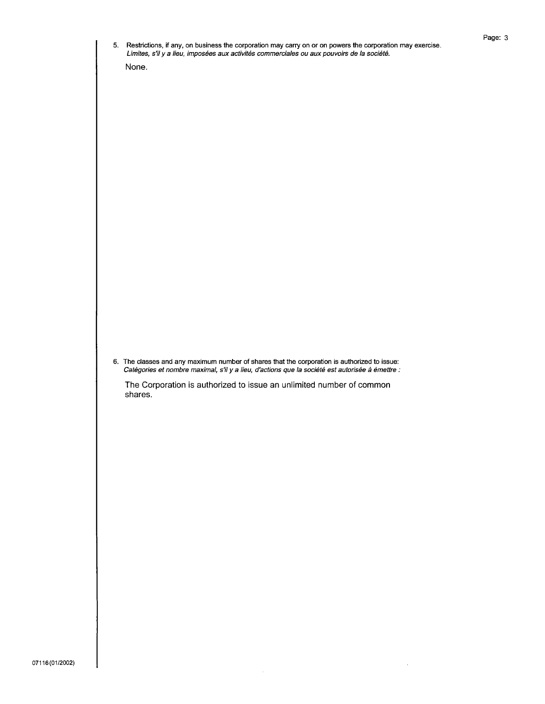| 6. The classes and any maximum number of shares that the corporation is authorized to issue:<br>Catégories et nombre maximal, s'il y a lieu, d'actions que la société est autorisée à émettre :<br>The Corporation is authorized to issue an unlimited number of common<br>shares. | None. |
|------------------------------------------------------------------------------------------------------------------------------------------------------------------------------------------------------------------------------------------------------------------------------------|-------|
|                                                                                                                                                                                                                                                                                    |       |
|                                                                                                                                                                                                                                                                                    |       |
|                                                                                                                                                                                                                                                                                    |       |
|                                                                                                                                                                                                                                                                                    |       |
|                                                                                                                                                                                                                                                                                    |       |
|                                                                                                                                                                                                                                                                                    |       |
|                                                                                                                                                                                                                                                                                    |       |
|                                                                                                                                                                                                                                                                                    |       |
|                                                                                                                                                                                                                                                                                    |       |
|                                                                                                                                                                                                                                                                                    |       |
|                                                                                                                                                                                                                                                                                    |       |
|                                                                                                                                                                                                                                                                                    |       |
|                                                                                                                                                                                                                                                                                    |       |
|                                                                                                                                                                                                                                                                                    |       |
|                                                                                                                                                                                                                                                                                    |       |
|                                                                                                                                                                                                                                                                                    |       |
|                                                                                                                                                                                                                                                                                    |       |
|                                                                                                                                                                                                                                                                                    |       |
|                                                                                                                                                                                                                                                                                    |       |
|                                                                                                                                                                                                                                                                                    |       |
|                                                                                                                                                                                                                                                                                    |       |
|                                                                                                                                                                                                                                                                                    |       |
|                                                                                                                                                                                                                                                                                    |       |
|                                                                                                                                                                                                                                                                                    |       |
|                                                                                                                                                                                                                                                                                    |       |
|                                                                                                                                                                                                                                                                                    |       |
|                                                                                                                                                                                                                                                                                    |       |
|                                                                                                                                                                                                                                                                                    |       |
|                                                                                                                                                                                                                                                                                    |       |
|                                                                                                                                                                                                                                                                                    |       |
|                                                                                                                                                                                                                                                                                    |       |
|                                                                                                                                                                                                                                                                                    |       |
|                                                                                                                                                                                                                                                                                    |       |
|                                                                                                                                                                                                                                                                                    |       |
|                                                                                                                                                                                                                                                                                    |       |
|                                                                                                                                                                                                                                                                                    |       |
|                                                                                                                                                                                                                                                                                    |       |
|                                                                                                                                                                                                                                                                                    |       |
|                                                                                                                                                                                                                                                                                    |       |
|                                                                                                                                                                                                                                                                                    |       |
|                                                                                                                                                                                                                                                                                    |       |
|                                                                                                                                                                                                                                                                                    |       |
|                                                                                                                                                                                                                                                                                    |       |
|                                                                                                                                                                                                                                                                                    |       |
|                                                                                                                                                                                                                                                                                    |       |
|                                                                                                                                                                                                                                                                                    |       |
|                                                                                                                                                                                                                                                                                    |       |
|                                                                                                                                                                                                                                                                                    |       |
|                                                                                                                                                                                                                                                                                    |       |
|                                                                                                                                                                                                                                                                                    |       |
|                                                                                                                                                                                                                                                                                    |       |
|                                                                                                                                                                                                                                                                                    |       |
|                                                                                                                                                                                                                                                                                    |       |
|                                                                                                                                                                                                                                                                                    |       |
|                                                                                                                                                                                                                                                                                    |       |
|                                                                                                                                                                                                                                                                                    |       |

 $\sim$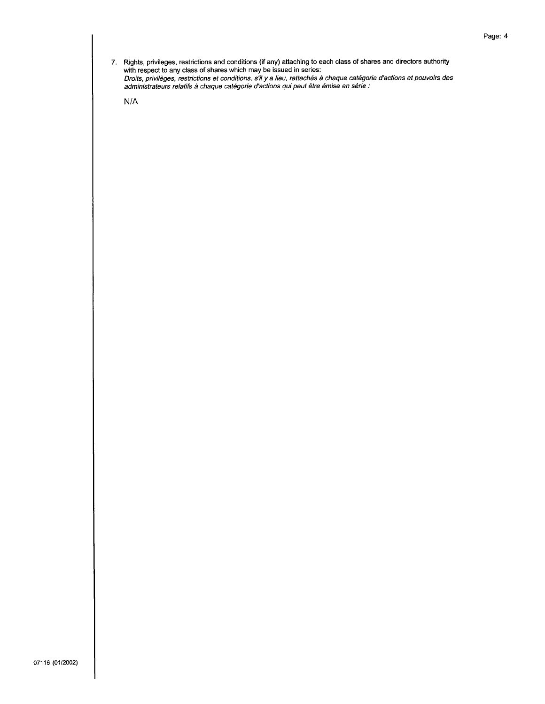7. Rights, privileges, restrictions and conditions (if any) attaching to each class of shares and directors authority with respect to any class of shares which may be issued in series:<br>Droits, privileges, restrictions et c

 $N/A$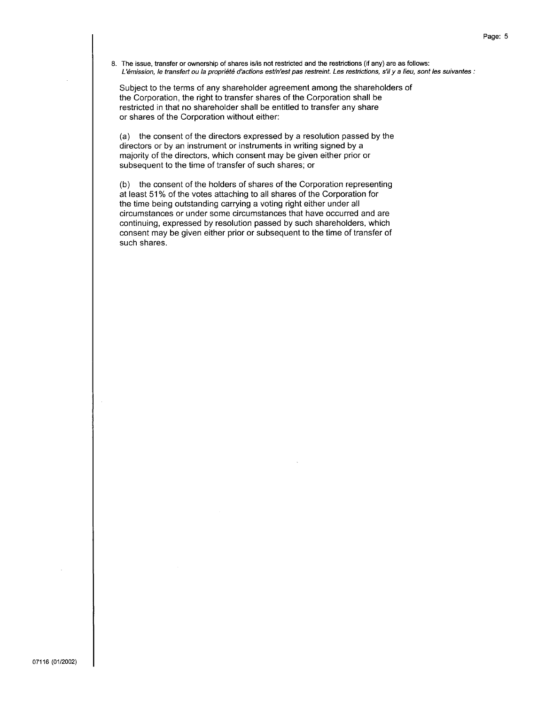8. The issue, transfer or ownership of shares is/is not restricted and the restrictions (if any) are as follows: L'émission, le transfert ou la propriété d'actions est/n'est pas restreint. Les restrictions, s'il y a lieu, sont les suivantes :

Subject to the terms of any shareholder agreement among the shareholders of the Corporation, the right to transfer shares of the Corporation shall be restricted in that no shareholder shall be entitled to transfer any share or shares of the Corporation without either:

(a) the consent of the directors expressed by a resolution passed by the directors or by an instrument or instruments in writing signed by a majority of the directors, which consent may be given either prior or subsequent to the time of transfer of such shares; or

(b) the consent of the holders of shares of the Corporation representing at least 51% of the votes attaching to all shares of the Corporation for the time being outstanding carrying a voting right either under all circumstances or under some circumstances that have occurred and are continuing, expressed by resolution passed by such shareholders, which consent may be given either prior or subsequent to the time of transfer of such shares.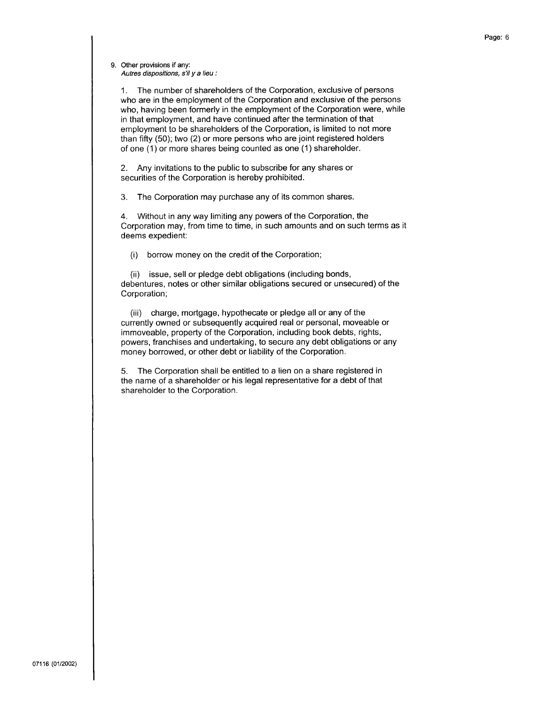1. The number of shareholders of the Corporation, exclusive of persons who are in the employment of the Corporation and exclusive of the persons who, having been formerly in the employment of the Corporation were, while in that employment, and have continued after the termination of that employment to be shareholders of the Corporation, is limited to not more than fifty (50); two (2) or more persons who are joint registered holders of one (1) or more shares being counted as one (1) shareholder.

Any invitations to the public to subscribe for any shares or  $2.$ securities of the Corporation is hereby prohibited.

The Corporation may purchase any of its common shares. 3.

 $4.$ Without in any way limiting any powers of the Corporation, the Corporation may, from time to time, in such amounts and on such terms as it deems expedient:

borrow money on the credit of the Corporation;  $(i)$ 

(ii) issue, sell or pledge debt obligations (including bonds, debentures, notes or other similar obligations secured or unsecured) of the Corporation;

(iii) charge, mortgage, hypothecate or pledge all or any of the currently owned or subsequently acquired real or personal, moveable or immoveable, property of the Corporation, including book debts, rights, powers, franchises and undertaking, to secure any debt obligations or any money borrowed, or other debt or liability of the Corporation.

5. The Corporation shall be entitled to a lien on a share registered in the name of a shareholder or his legal representative for a debt of that shareholder to the Corporation.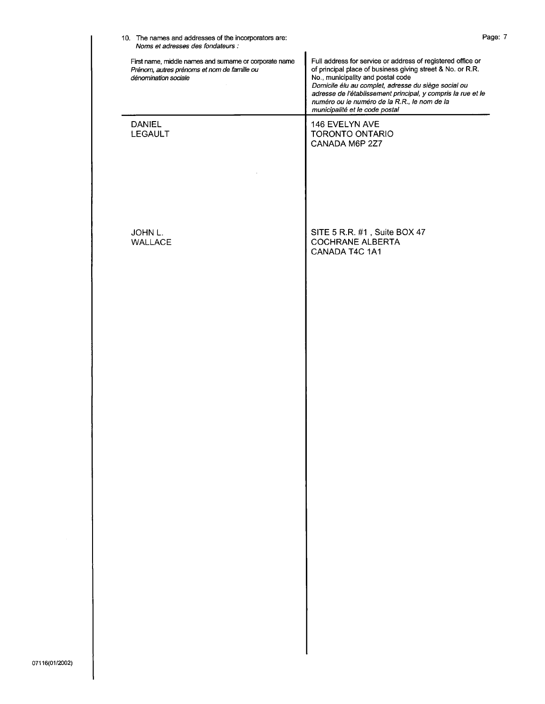| First name, middle names and sumame or corporate name<br>Prénom, autres prénoms et nom de famille ou<br>dénomination sociale | Full address for service or address of registered office or<br>of principal place of business giving street & No. or R.R.<br>No., municipality and postal code<br>Domicile élu au complet, adresse du siège social ou<br>adresse de l'établissement principal, y compris la rue et le<br>numéro ou le numéro de la R.R., le nom de la<br>municipalité et le code postal |
|------------------------------------------------------------------------------------------------------------------------------|-------------------------------------------------------------------------------------------------------------------------------------------------------------------------------------------------------------------------------------------------------------------------------------------------------------------------------------------------------------------------|
| <b>DANIEL</b><br>LEGAULT                                                                                                     | 146 EVELYN AVE<br>TORONTO ONTARIO<br>CANADA M6P 2Z7                                                                                                                                                                                                                                                                                                                     |
| JOHN L.<br>WALLACE                                                                                                           | SITE 5 R.R. #1, Suite BOX 47<br><b>COCHRANE ALBERTA</b><br>CANADA T4C 1A1                                                                                                                                                                                                                                                                                               |
|                                                                                                                              |                                                                                                                                                                                                                                                                                                                                                                         |
|                                                                                                                              |                                                                                                                                                                                                                                                                                                                                                                         |
|                                                                                                                              |                                                                                                                                                                                                                                                                                                                                                                         |
|                                                                                                                              |                                                                                                                                                                                                                                                                                                                                                                         |
|                                                                                                                              |                                                                                                                                                                                                                                                                                                                                                                         |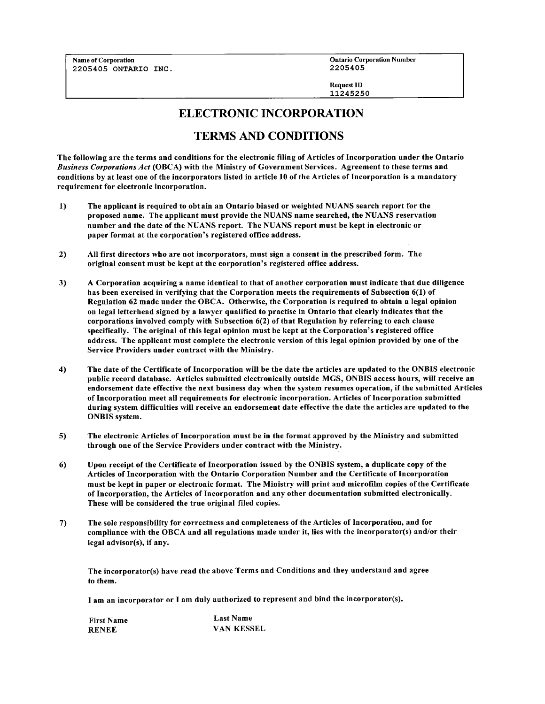**Name of Corporation** 2205405 ONTARIO INC. **Ontario Corporation Number** 2205405

**Request ID** 11245250

## **ELECTRONIC INCORPORATION**

# **TERMS AND CONDITIONS**

The following are the terms and conditions for the electronic filing of Articles of Incorporation under the Ontario Business Corporations Act (OBCA) with the Ministry of Government Services. Agreement to these terms and conditions by at least one of the incorporators listed in article 10 of the Articles of Incorporation is a mandatory requirement for electronic incorporation.

- $1)$ The applicant is required to obt ain an Ontario biased or weighted NUANS search report for the proposed name. The applicant must provide the NUANS name searched, the NUANS reservation number and the date of the NUANS report. The NUANS report must be kept in electronic or paper format at the corporation's registered office address.
- All first directors who are not incorporators, must sign a consent in the prescribed form. The  $2)$ original consent must be kept at the corporation's registered office address.
- $3)$ A Corporation acquiring a name identical to that of another corporation must indicate that due diligence has been exercised in verifying that the Corporation meets the requirements of Subsection 6(1) of Regulation 62 made under the OBCA. Otherwise, the Corporation is required to obtain a legal opinion on legal letterhead signed by a lawyer qualified to practise in Ontario that clearly indicates that the corporations involved comply with Subsection 6(2) of that Regulation by referring to each clause specifically. The original of this legal opinion must be kept at the Corporation's registered office address. The applicant must complete the electronic version of this legal opinion provided by one of the Service Providers under contract with the Ministry.
- $4)$ The date of the Certificate of Incorporation will be the date the articles are updated to the ONBIS electronic public record database. Articles submitted electronically outside MGS, ONBIS access hours, will receive an endorsement date effective the next business day when the system resumes operation, if the submitted Articles of Incorporation meet all requirements for electronic incorporation. Articles of Incorporation submitted during system difficulties will receive an endorsement date effective the date the articles are updated to the **ONBIS** system.
- $5)$ The electronic Articles of Incorporation must be in the format approved by the Ministry and submitted through one of the Service Providers under contract with the Ministry.
- Upon receipt of the Certificate of Incorporation issued by the ONBIS system, a duplicate copy of the  $6)$ Articles of Incorporation with the Ontario Corporation Number and the Certificate of Incorporation must be kept in paper or electronic format. The Ministry will print and microfilm copies of the Certificate of Incorporation, the Articles of Incorporation and any other documentation submitted electronically. These will be considered the true original filed copies.
- The sole responsibility for correctness and completeness of the Articles of Incorporation, and for  $7)$ compliance with the OBCA and all regulations made under it, lies with the incorporator(s) and/or their legal advisor(s), if any.

The incorporator(s) have read the above Terms and Conditions and they understand and agree to them.

I am an incorporator or I am duly authorized to represent and bind the incorporator(s).

**Last Name First Name RENEE VAN KESSEL**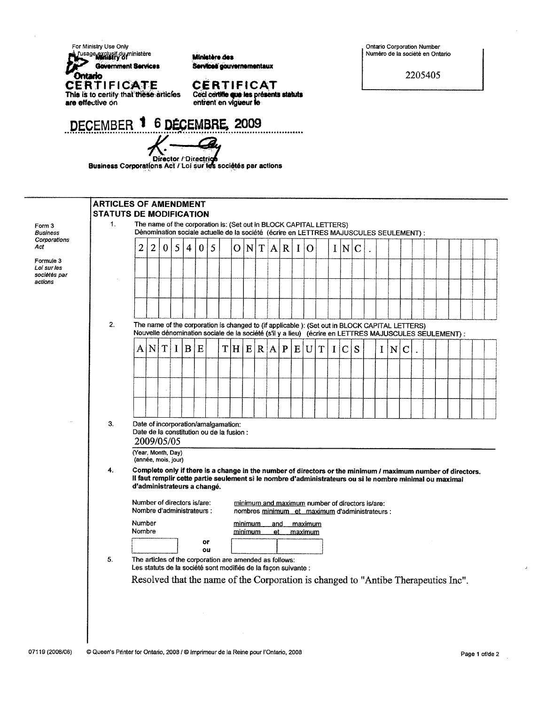For Ministry Use Only



Ministère des Services gouvernementaux

CERTIFICAT

Ceci certifie que les présents statuts<br>entrent en vigueur le

......

DECEMBER 1 6 DECEMBRE, 2009

Director / Director & Sociétés<br>Business Corporations Act / Loi sur les sociétés par actions

# ARTICLES OF AMENDMENT

| Form 3       |
|--------------|
| Business     |
| Corporations |
| Act          |

Formule 3 Loi sur les sociétés par actions

| 1. |                                                                                                                                                                                                                                                                                       |                                                                                    |            |   |                |          | The name of the corporation is: (Set out in BLOCK CAPITAL LETTERS)<br>Dénomination sociale actuelle de la société (écrire en LETTRES MAJUSCULES SEULEMENT) : |     |                    |           |              |          |                    |   |              |             |                                                 |   |   |             |  |                                                                                                        |  |  |
|----|---------------------------------------------------------------------------------------------------------------------------------------------------------------------------------------------------------------------------------------------------------------------------------------|------------------------------------------------------------------------------------|------------|---|----------------|----------|--------------------------------------------------------------------------------------------------------------------------------------------------------------|-----|--------------------|-----------|--------------|----------|--------------------|---|--------------|-------------|-------------------------------------------------|---|---|-------------|--|--------------------------------------------------------------------------------------------------------|--|--|
|    | $\overline{2}$                                                                                                                                                                                                                                                                        | $\overline{2}$                                                                     | 0          | 5 | $\overline{4}$ | $\bf{0}$ | 5                                                                                                                                                            | 0   | N                  |           | T  A  R      | $\bf{I}$ | $\Omega$           |   |              | I N         | $\mathbf C$                                     |   |   |             |  |                                                                                                        |  |  |
|    |                                                                                                                                                                                                                                                                                       |                                                                                    |            |   |                |          |                                                                                                                                                              |     |                    |           |              |          |                    |   |              |             |                                                 |   |   |             |  |                                                                                                        |  |  |
|    |                                                                                                                                                                                                                                                                                       |                                                                                    |            |   |                |          |                                                                                                                                                              |     |                    |           |              |          |                    |   |              |             |                                                 |   |   |             |  |                                                                                                        |  |  |
|    |                                                                                                                                                                                                                                                                                       |                                                                                    |            |   |                |          |                                                                                                                                                              |     |                    |           |              |          |                    |   |              |             |                                                 |   |   |             |  |                                                                                                        |  |  |
| 2. | The name of the corporation is changed to (if applicable ): (Set out in BLOCK CAPITAL LETTERS)                                                                                                                                                                                        |                                                                                    |            |   |                |          |                                                                                                                                                              |     |                    |           |              |          |                    |   |              |             |                                                 |   |   |             |  | Nouvelle dénomination sociale de la société (s'il y a lieu) (écrire en LETTRES MAJUSCULES SEULEMENT) : |  |  |
|    | A                                                                                                                                                                                                                                                                                     | N                                                                                  | T          | 1 | $\bf{B}$       | E        |                                                                                                                                                              | T H | E                  | R A       | $\mathbf{P}$ | E        | U                  | T | $\mathbf{I}$ | $\mathbf C$ | S                                               | I | N | $\mathbf C$ |  |                                                                                                        |  |  |
|    |                                                                                                                                                                                                                                                                                       |                                                                                    |            |   |                |          |                                                                                                                                                              |     |                    |           |              |          |                    |   |              |             |                                                 |   |   |             |  |                                                                                                        |  |  |
|    |                                                                                                                                                                                                                                                                                       |                                                                                    |            |   |                |          |                                                                                                                                                              |     |                    |           |              |          |                    |   |              |             |                                                 |   |   |             |  |                                                                                                        |  |  |
|    |                                                                                                                                                                                                                                                                                       |                                                                                    |            |   |                |          |                                                                                                                                                              |     |                    |           |              |          |                    |   |              |             |                                                 |   |   |             |  |                                                                                                        |  |  |
| 3. | Date of incorporation/amalgamation:<br>Date de la constitution ou de la fusion :                                                                                                                                                                                                      |                                                                                    | 2009/05/05 |   |                |          |                                                                                                                                                              |     |                    |           |              |          |                    |   |              |             |                                                 |   |   |             |  |                                                                                                        |  |  |
|    | (Year, Month, Day)<br>(année, mois, jour)                                                                                                                                                                                                                                             |                                                                                    |            |   |                |          |                                                                                                                                                              |     |                    |           |              |          |                    |   |              |             |                                                 |   |   |             |  |                                                                                                        |  |  |
| 4. | Complete only if there is a change in the number of directors or the minimum / maximum number of directors.<br>Il faut remplir cette partie seulement si le nombre d'administrateurs ou si le nombre minimal ou maximal<br>d'administrateurs a changé.<br>Number of directors is/are: |                                                                                    |            |   |                |          |                                                                                                                                                              |     |                    |           |              |          |                    |   |              |             | minimum and maximum number of directors is/are: |   |   |             |  |                                                                                                        |  |  |
|    | Nombre d'administrateurs :                                                                                                                                                                                                                                                            |                                                                                    |            |   |                |          |                                                                                                                                                              |     |                    |           |              |          |                    |   |              |             | nombres minimum et maximum d'administrateurs :  |   |   |             |  |                                                                                                        |  |  |
|    | Number<br>Nombre                                                                                                                                                                                                                                                                      |                                                                                    |            |   |                |          |                                                                                                                                                              |     | minimum<br>minimum | and<br>et |              |          | maximum<br>maximum |   |              |             |                                                 |   |   |             |  |                                                                                                        |  |  |
|    |                                                                                                                                                                                                                                                                                       |                                                                                    |            |   |                | or<br>OU |                                                                                                                                                              |     |                    |           |              |          |                    |   |              |             |                                                 |   |   |             |  |                                                                                                        |  |  |
| 5. | The articles of the corporation are amended as follows:<br>Les statuts de la société sont modifiés de la façon suivante :                                                                                                                                                             |                                                                                    |            |   |                |          |                                                                                                                                                              |     |                    |           |              |          |                    |   |              |             |                                                 |   |   |             |  |                                                                                                        |  |  |
|    |                                                                                                                                                                                                                                                                                       | Resolved that the name of the Corporation is changed to "Antibe Therapeutics Inc". |            |   |                |          |                                                                                                                                                              |     |                    |           |              |          |                    |   |              |             |                                                 |   |   |             |  |                                                                                                        |  |  |

07119 (2008/06) © Queen's Printer for Ontario, 2008 / © Imprimeur de la Reine pour l'Ontario, 2008 Ontario Corporation Number Numéro de la société en Ontario

2205405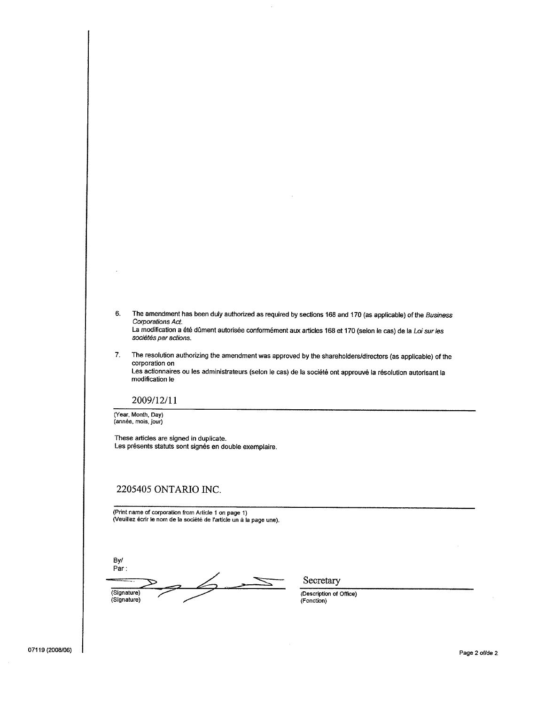| The amendment has been duly authorized as required by sections 168 and 170 (as applicable) of the Business<br>Corporations Act.<br>La modification a été dûment autorisée conformément aux articles 168 et 170 (selon le cas) de la Loi sur les<br>sociétés par actions. |
|--------------------------------------------------------------------------------------------------------------------------------------------------------------------------------------------------------------------------------------------------------------------------|
| The resolution outline in a second contract on a second but the detection of $\mathbb{R}^n$                                                                                                                                                                              |

 $\bar{z}$ 

The resolution authorizing the amendment was approved by the shareholders/directors (as applicable) of the 7. corporation on Les actionnaires ou les administrateurs (selon le cas) de la société ont approuvé la résolution autorisant la modification le

#### 2009/12/11

(Year, Month, Day)<br>(année, mois, jour)

These articles are signed in duplicate. Les présents statuts sont signés en double exemplaire.

## 2205405 ONTARIO INC.

(Print name of corporation from Article 1 on page 1)<br>(Veuillez écrir le nom de la société de l'article un à la page une).

By/ Par:  $\measuredangle$ (Signature) (Signature)

Secretary

(Description of Office) (Fonction)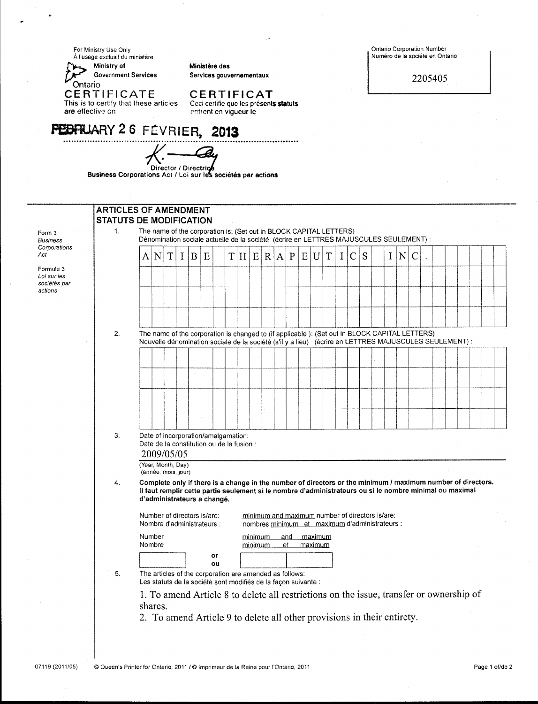For Ministry Use Only<br>À l'usage exclusif du ministère



Ministère des Services gouvernementaux

CERTIFICAT<br>Ceci certifie que les présents statuts<br>entrent en vigueur le

**FEBRUARY 26 FÉVRIER, 2013** 

Director / Directrice<br>Business Corporations Act / Loi sur les sociétés par actions

**Ontario Corporation Number** Numéro de la société en Ontario

2205405

|                                                     | <b>ARTICLES OF AMENDMENT</b><br><b>STATUTS DE MODIFICATION</b> |   |                  |                                           |          |        |                                                                                                                                                                                                                                                        |  |                    |           |              |   |                    |   |          |               |                                                                                                   |          |   |   |  |  |  |  |
|-----------------------------------------------------|----------------------------------------------------------------|---|------------------|-------------------------------------------|----------|--------|--------------------------------------------------------------------------------------------------------------------------------------------------------------------------------------------------------------------------------------------------------|--|--------------------|-----------|--------------|---|--------------------|---|----------|---------------|---------------------------------------------------------------------------------------------------|----------|---|---|--|--|--|--|
| Form 3<br><b>Business</b>                           | $\mathbf{1}$ .                                                 |   |                  |                                           |          |        | The name of the corporation is: (Set out in BLOCK CAPITAL LETTERS)<br>Dénomination sociale actuelle de la société (écrire en LETTRES MAJUSCULES SEULEMENT) :                                                                                           |  |                    |           |              |   |                    |   |          |               |                                                                                                   |          |   |   |  |  |  |  |
| Corporations<br>Act                                 |                                                                | Α | N                | $\mathbf T$                               | $\bf{I}$ | B<br>E |                                                                                                                                                                                                                                                        |  |                    | T[H E R A | $\mathbf{P}$ | Ε | U                  | T | $\bf{I}$ | $\mathcal{C}$ | S                                                                                                 | $\bf{I}$ | N | C |  |  |  |  |
| Formule 3<br>Loi sur les<br>sociétés par<br>actions |                                                                |   |                  |                                           |          |        |                                                                                                                                                                                                                                                        |  |                    |           |              |   |                    |   |          |               |                                                                                                   |          |   |   |  |  |  |  |
|                                                     |                                                                |   |                  |                                           |          |        |                                                                                                                                                                                                                                                        |  |                    |           |              |   |                    |   |          |               |                                                                                                   |          |   |   |  |  |  |  |
|                                                     | 2.                                                             |   |                  |                                           |          |        | The name of the corporation is changed to (if applicable ): (Set out in BLOCK CAPITAL LETTERS)<br>Nouvelle dénomination sociale de la société (s'il y a lieu) (écrire en LETTRES MAJUSCULES SEULEMENT) :                                               |  |                    |           |              |   |                    |   |          |               |                                                                                                   |          |   |   |  |  |  |  |
|                                                     |                                                                |   |                  |                                           |          |        |                                                                                                                                                                                                                                                        |  |                    |           |              |   |                    |   |          |               |                                                                                                   |          |   |   |  |  |  |  |
|                                                     |                                                                |   |                  |                                           |          |        |                                                                                                                                                                                                                                                        |  |                    |           |              |   |                    |   |          |               |                                                                                                   |          |   |   |  |  |  |  |
|                                                     |                                                                |   |                  |                                           |          |        |                                                                                                                                                                                                                                                        |  |                    |           |              |   |                    |   |          |               |                                                                                                   |          |   |   |  |  |  |  |
|                                                     |                                                                |   |                  |                                           |          |        |                                                                                                                                                                                                                                                        |  |                    |           |              |   |                    |   |          |               |                                                                                                   |          |   |   |  |  |  |  |
|                                                     | 3.                                                             |   |                  | 2009/05/05                                |          |        | Date of incorporation/amalgamation:<br>Date de la constitution ou de la fusion :                                                                                                                                                                       |  |                    |           |              |   |                    |   |          |               |                                                                                                   |          |   |   |  |  |  |  |
|                                                     |                                                                |   |                  | (Year, Month, Day)<br>(année, mois, jour) |          |        |                                                                                                                                                                                                                                                        |  |                    |           |              |   |                    |   |          |               |                                                                                                   |          |   |   |  |  |  |  |
|                                                     | 4.                                                             |   |                  |                                           |          |        | Complete only if there is a change in the number of directors or the minimum / maximum number of directors.<br>Il faut remplir cette partie seulement si le nombre d'administrateurs ou si le nombre minimal ou maximal<br>d'administrateurs a changé. |  |                    |           |              |   |                    |   |          |               |                                                                                                   |          |   |   |  |  |  |  |
|                                                     |                                                                |   |                  | Number of directors is/are:               |          |        | Nombre d'administrateurs :                                                                                                                                                                                                                             |  |                    |           |              |   |                    |   |          |               | minimum and maximum number of directors is/are:<br>nombres minimum et maximum d'administrateurs : |          |   |   |  |  |  |  |
|                                                     |                                                                |   | Number<br>Nombre |                                           |          |        |                                                                                                                                                                                                                                                        |  | minimum<br>minimum |           | and<br>et    |   | maximum<br>maximum |   |          |               |                                                                                                   |          |   |   |  |  |  |  |
|                                                     | 5.                                                             |   |                  |                                           |          |        | or<br>ou<br>The articles of the corporation are amended as follows:<br>Les statuts de la société sont modifiés de la façon suivante :                                                                                                                  |  |                    |           |              |   |                    |   |          |               |                                                                                                   |          |   |   |  |  |  |  |
|                                                     |                                                                |   | shares.          |                                           |          |        | 1. To amend Article 8 to delete all restrictions on the issue, transfer or ownership of                                                                                                                                                                |  |                    |           |              |   |                    |   |          |               |                                                                                                   |          |   |   |  |  |  |  |
|                                                     |                                                                |   |                  |                                           |          |        | 2. To amend Article 9 to delete all other provisions in their entirety.                                                                                                                                                                                |  |                    |           |              |   |                    |   |          |               |                                                                                                   |          |   |   |  |  |  |  |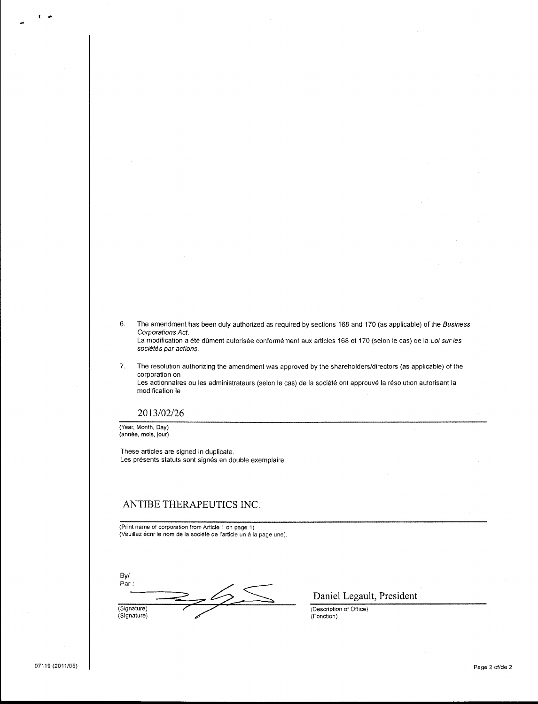- 6. The amendment has been duly authorized as required by sections 168 and 170 (as applicable) of the Business Corporations Act. La modification a été dûment autorisée conformément aux articles 168 et 170 (selon le cas) de la Loi sur les sociétés par actions.
- 7. The resolution authorizing the amendment was approved by the shareholders/directors (as applicable) of the corporation on Les actionnaires ou les administrateurs (selon le cas) de la société ont approuvé la résolution autorisant la modification le

### 2013/02/26

(Year, Month, Day) (année, mois, jour)

These articles are signed in duplicate. Les présents statuts sont signés en double exemplaire.

## ANTIBE THERAPEUTICS INC.

(Print name of corporation from Article 1 on page 1) (Veuillez écrir le nom de la société de l'article un à la page une).

By/  $Par:$  $-\frac{65}{2}$ (Signature) (Signature)

Daniel Legault, President

(Description of Office) (Fonction)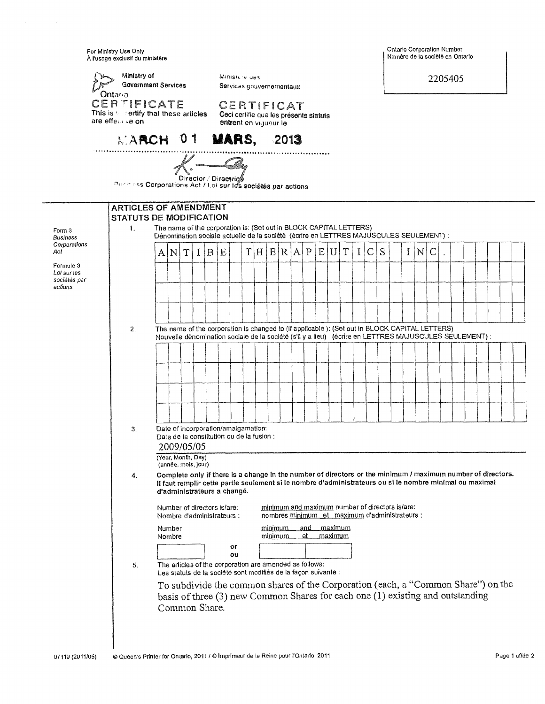For Ministry Use Onty<br>Å l'usage exclusif du ministère

|                                          | Ministry of<br><b>Government Services</b>                                                               |                  |                                                                                                                                                                                                                                                        |                       |       | Ministere des<br>Services gouvernementaux                                     |     |                                                                                                   |             |     |                |                |   |   |   |  |     | 2205405      |  |  |  |  |
|------------------------------------------|---------------------------------------------------------------------------------------------------------|------------------|--------------------------------------------------------------------------------------------------------------------------------------------------------------------------------------------------------------------------------------------------------|-----------------------|-------|-------------------------------------------------------------------------------|-----|---------------------------------------------------------------------------------------------------|-------------|-----|----------------|----------------|---|---|---|--|-----|--------------|--|--|--|--|
|                                          | Ontar <sub>o</sub><br><b>CERTIFICATE</b><br>This is to certify that these articles.<br>are effective on |                  |                                                                                                                                                                                                                                                        |                       |       | CERTIFICAT<br>Ceci certifie que les présents statuts<br>entrent en vigueur le |     |                                                                                                   |             |     |                |                |   |   |   |  |     |              |  |  |  |  |
|                                          | MARCH 01 MARS, 2013                                                                                     |                  |                                                                                                                                                                                                                                                        |                       |       |                                                                               |     |                                                                                                   |             |     |                |                |   |   |   |  |     |              |  |  |  |  |
|                                          | <b>Rusinass Corporations Act / Loi sur les sociétés par actions</b>                                     |                  |                                                                                                                                                                                                                                                        | Director / Directrics |       | $\mathcal{K}$ , and $\mathcal{Q}_{\alpha\beta}$                               |     |                                                                                                   |             |     |                |                |   |   |   |  |     |              |  |  |  |  |
|                                          | <b>ARTICLES OF AMENDMENT</b><br>STATUTS DE MODIFICATION                                                 |                  |                                                                                                                                                                                                                                                        |                       |       |                                                                               |     |                                                                                                   |             |     |                |                |   |   |   |  |     |              |  |  |  |  |
| Form 3<br>Business                       | 1.                                                                                                      |                  | The name of the corporation is: (Set out in BLOCK CAPITAL LETTERS)<br>Dénomination sociale actuelle de la société (écrire en LETTRES MAJUSCULES SEULEMENT) :                                                                                           |                       |       |                                                                               |     |                                                                                                   |             |     |                |                |   |   |   |  |     |              |  |  |  |  |
| Corporations<br>Acl                      |                                                                                                         | A N              | Υ                                                                                                                                                                                                                                                      |                       | I B E |                                                                               | T H | E[R A]                                                                                            | P           | E U |                | T              | I | C | S |  | 1 N | $\mathsf{C}$ |  |  |  |  |
| Formule 3<br>Loi sur les<br>sociétés par |                                                                                                         |                  |                                                                                                                                                                                                                                                        |                       |       |                                                                               |     |                                                                                                   |             |     |                |                |   |   |   |  |     |              |  |  |  |  |
| actions                                  |                                                                                                         |                  |                                                                                                                                                                                                                                                        |                       |       |                                                                               |     |                                                                                                   |             |     |                |                |   |   |   |  |     |              |  |  |  |  |
|                                          |                                                                                                         |                  |                                                                                                                                                                                                                                                        |                       |       |                                                                               |     |                                                                                                   |             |     |                |                |   |   |   |  |     |              |  |  |  |  |
|                                          | 2.                                                                                                      |                  | The name of the corporation is changed to (if applicable): (Set out in BLOCK CAPITAL LETTERS)<br>Nouvelle dénomination sociale de la société (s'il y a lieu) (écrire en LETTRES MAJUSCULES SEULEMENT) :                                                |                       |       |                                                                               |     |                                                                                                   |             |     |                |                |   |   |   |  |     |              |  |  |  |  |
|                                          |                                                                                                         |                  |                                                                                                                                                                                                                                                        |                       |       |                                                                               |     |                                                                                                   |             |     |                |                |   |   |   |  |     |              |  |  |  |  |
|                                          |                                                                                                         |                  |                                                                                                                                                                                                                                                        |                       |       |                                                                               |     |                                                                                                   |             |     |                |                |   |   |   |  |     |              |  |  |  |  |
|                                          |                                                                                                         |                  |                                                                                                                                                                                                                                                        |                       |       |                                                                               |     |                                                                                                   |             |     |                |                |   |   |   |  |     |              |  |  |  |  |
|                                          |                                                                                                         |                  |                                                                                                                                                                                                                                                        |                       |       |                                                                               |     |                                                                                                   |             |     |                |                |   |   |   |  |     |              |  |  |  |  |
|                                          | 3.                                                                                                      |                  | Date of incorporation/amalgamation:<br>Date de la constitution ou de la fusion :<br>2009/05/05                                                                                                                                                         |                       |       |                                                                               |     |                                                                                                   |             |     |                |                |   |   |   |  |     |              |  |  |  |  |
|                                          |                                                                                                         |                  | (Year, Month, Day)<br>(année, mois, jour)                                                                                                                                                                                                              |                       |       |                                                                               |     |                                                                                                   |             |     |                |                |   |   |   |  |     |              |  |  |  |  |
|                                          | 4.                                                                                                      |                  | Complete only if there is a change in the number of directors or the minimum / maximum number of directors.<br>Il faut remplir cette partie seulement sì le nombre d'administrateurs ou sì le nombre minimal ou maximal<br>d'administrateurs a changé. |                       |       |                                                                               |     |                                                                                                   |             |     |                |                |   |   |   |  |     |              |  |  |  |  |
|                                          |                                                                                                         |                  | Number of directors is/are:<br>Nombre d'administrateurs :                                                                                                                                                                                              |                       |       |                                                                               |     | minimum and maximum number of directors is/are:<br>nombres minimum et maximum d'administrateurs : |             |     |                |                |   |   |   |  |     |              |  |  |  |  |
|                                          |                                                                                                         | Number<br>Nombre |                                                                                                                                                                                                                                                        |                       |       |                                                                               |     | minimum<br>minimum                                                                                | _and_<br>et |     | <u>maximum</u> | <u>maximum</u> |   |   |   |  |     |              |  |  |  |  |
|                                          | 5.                                                                                                      |                  | The articles of the corporation are amended as follows:                                                                                                                                                                                                |                       |       | or<br>ou                                                                      |     |                                                                                                   |             |     |                |                |   |   |   |  |     |              |  |  |  |  |
|                                          |                                                                                                         |                  | Les statuts de la société sont modifiés de la façon suivante :                                                                                                                                                                                         |                       |       |                                                                               |     |                                                                                                   |             |     |                |                |   |   |   |  |     |              |  |  |  |  |
|                                          |                                                                                                         |                  | To subdivide the common shares of the Corporation (each, a "Common Share") on the<br>basis of three $(3)$ new Common Shares for each one $(1)$ existing and outstanding<br>Common Share.                                                               |                       |       |                                                                               |     |                                                                                                   |             |     |                |                |   |   |   |  |     |              |  |  |  |  |
|                                          |                                                                                                         |                  |                                                                                                                                                                                                                                                        |                       |       |                                                                               |     |                                                                                                   |             |     |                |                |   |   |   |  |     |              |  |  |  |  |

Ontario Corporation Number<br>Numéro de la société en Ontario

 $\overline{\phantom{a}}$